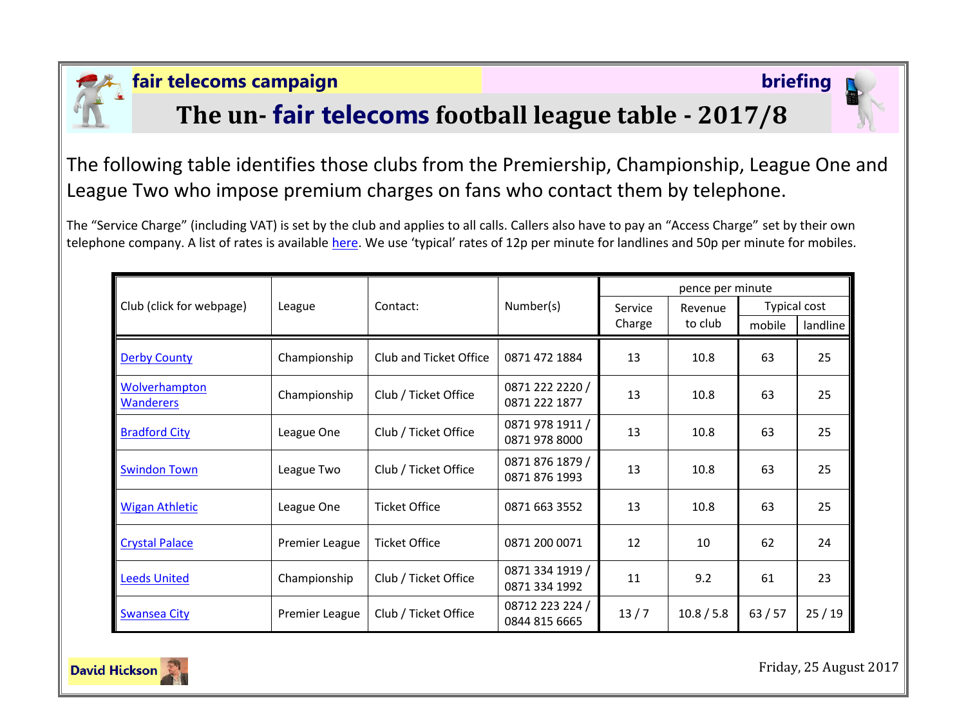

### **fair telecoms campaign briefing**

# **The un- fair telecoms football league table - 2017/8**



The following table identifies those clubs from the Premiership, Championship, League One and League Two who impose premium charges on fans who contact them by telephone.

The "Service Charge" (including VAT) is set by the club and applies to all calls. Callers also have to pay an "Access Charge" set by their own telephone company. A list of rates is available [here.](http://www.saynoto0870.com/costofcalling.php) We use 'typical' rates of 12p per minute for landlines and 50p per minute for mobiles.

|                                   | League         | Contact:               | Number(s)                        | pence per minute |            |              |          |
|-----------------------------------|----------------|------------------------|----------------------------------|------------------|------------|--------------|----------|
| Club (click for webpage)          |                |                        |                                  | Service          | Revenue    | Typical cost |          |
|                                   |                |                        |                                  | Charge           | to club    | mobile       | landline |
| <b>Derby County</b>               | Championship   | Club and Ticket Office | 0871 472 1884                    | 13               | 10.8       | 63           | 25       |
| Wolverhampton<br><b>Wanderers</b> | Championship   | Club / Ticket Office   | 0871 222 2220 /<br>0871 222 1877 | 13               | 10.8       | 63           | 25       |
| <b>Bradford City</b>              | League One     | Club / Ticket Office   | 0871 978 1911 /<br>0871 978 8000 | 13               | 10.8       | 63           | 25       |
| <b>Swindon Town</b>               | League Two     | Club / Ticket Office   | 0871 876 1879 /<br>0871 876 1993 | 13               | 10.8       | 63           | 25       |
| <b>Wigan Athletic</b>             | League One     | <b>Ticket Office</b>   | 0871 663 3552                    | 13               | 10.8       | 63           | 25       |
| <b>Crystal Palace</b>             | Premier League | <b>Ticket Office</b>   | 0871 200 0071                    | 12               | 10         | 62           | 24       |
| <b>Leeds United</b>               | Championship   | Club / Ticket Office   | 0871 334 1919 /<br>0871 334 1992 | 11               | 9.2        | 61           | 23       |
| <b>Swansea City</b>               | Premier League | Club / Ticket Office   | 08712 223 224 /<br>0844 815 6665 | 13/7             | 10.8 / 5.8 | 63/57        | 25/19    |



Friday, 25 August 2017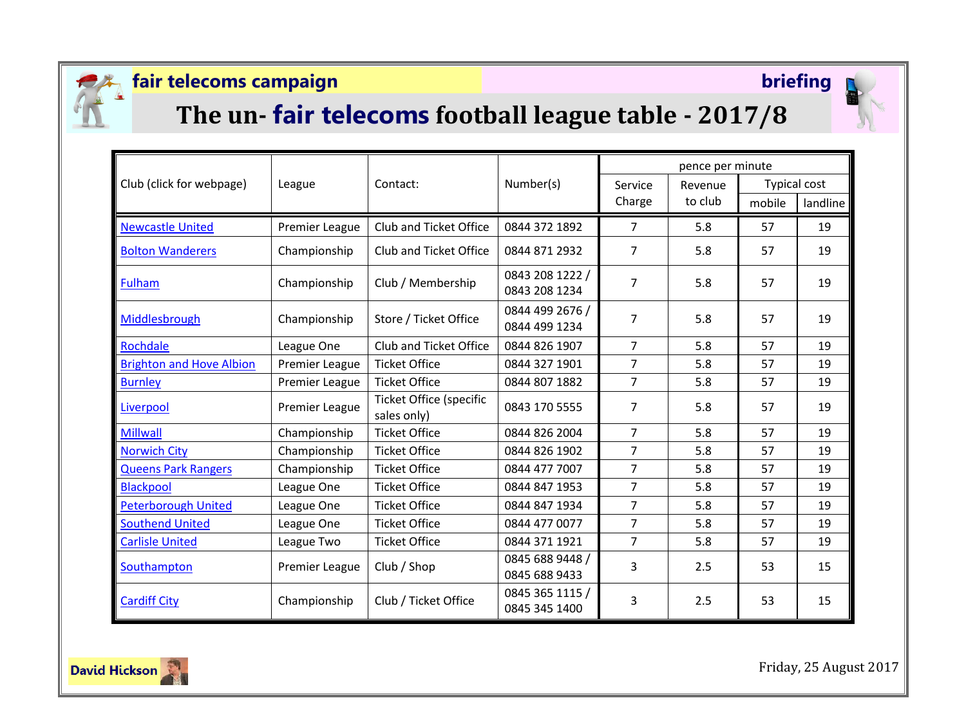

## **fair telecoms campaign briefing**



# **The un- fair telecoms football league table - 2017/8**

| Club (click for webpage)        | League                | Contact:                                      | Number(s)                        | pence per minute  |                    |                     |          |
|---------------------------------|-----------------------|-----------------------------------------------|----------------------------------|-------------------|--------------------|---------------------|----------|
|                                 |                       |                                               |                                  | Service<br>Charge | Revenue<br>to club | <b>Typical cost</b> |          |
|                                 |                       |                                               |                                  |                   |                    | mobile              | landline |
| <b>Newcastle United</b>         | Premier League        | Club and Ticket Office                        | 0844 372 1892                    | $\overline{7}$    | 5.8                | 57                  | 19       |
| <b>Bolton Wanderers</b>         | Championship          | Club and Ticket Office                        | 0844 871 2932                    | 7                 | 5.8                | 57                  | 19       |
| <b>Fulham</b>                   | Championship          | Club / Membership                             | 0843 208 1222 /<br>0843 208 1234 | 7                 | 5.8                | 57                  | 19       |
| Middlesbrough                   | Championship          | Store / Ticket Office                         | 0844 499 2676 /<br>0844 499 1234 | 7                 | 5.8                | 57                  | 19       |
| Rochdale                        | League One            | Club and Ticket Office                        | 0844 826 1907                    | $\overline{7}$    | 5.8                | 57                  | 19       |
| <b>Brighton and Hove Albion</b> | Premier League        | <b>Ticket Office</b>                          | 0844 327 1901                    | $\overline{7}$    | 5.8                | 57                  | 19       |
| <b>Burnley</b>                  | Premier League        | <b>Ticket Office</b>                          | 0844 807 1882                    | $\overline{7}$    | 5.8                | 57                  | 19       |
| Liverpool                       | <b>Premier League</b> | <b>Ticket Office (specific</b><br>sales only) | 0843 170 5555                    | $\overline{7}$    | 5.8                | 57                  | 19       |
| <b>Millwall</b>                 | Championship          | <b>Ticket Office</b>                          | 0844 826 2004                    | $\overline{7}$    | 5.8                | 57                  | 19       |
| <b>Norwich City</b>             | Championship          | <b>Ticket Office</b>                          | 0844 826 1902                    | $\overline{7}$    | 5.8                | 57                  | 19       |
| <b>Queens Park Rangers</b>      | Championship          | <b>Ticket Office</b>                          | 0844 477 7007                    | $\overline{7}$    | 5.8                | 57                  | 19       |
| <b>Blackpool</b>                | League One            | <b>Ticket Office</b>                          | 0844 847 1953                    | $\overline{7}$    | 5.8                | 57                  | 19       |
| <b>Peterborough United</b>      | League One            | <b>Ticket Office</b>                          | 0844 847 1934                    | $\overline{7}$    | 5.8                | 57                  | 19       |
| <b>Southend United</b>          | League One            | <b>Ticket Office</b>                          | 0844 477 0077                    | $\overline{7}$    | 5.8                | 57                  | 19       |
| <b>Carlisle United</b>          | League Two            | <b>Ticket Office</b>                          | 0844 371 1921                    | $\overline{7}$    | 5.8                | 57                  | 19       |
| Southampton                     | Premier League        | Club / Shop                                   | 0845 688 9448 /<br>0845 688 9433 | 3                 | 2.5                | 53                  | 15       |
| <b>Cardiff City</b>             | Championship          | Club / Ticket Office                          | 0845 365 1115 /<br>0845 345 1400 | 3                 | 2.5                | 53                  | 15       |



Friday, 25 August 2017